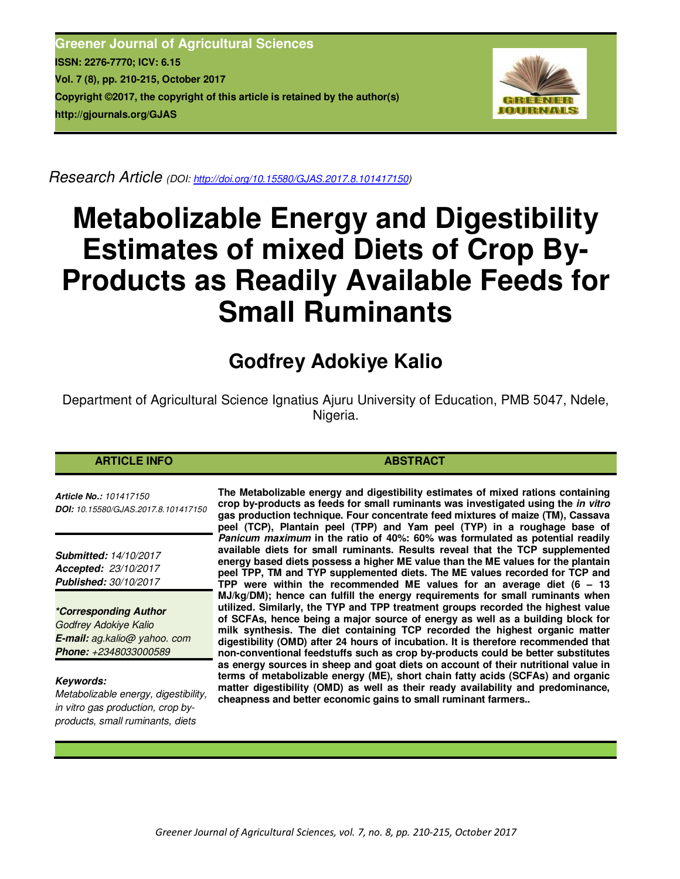**Greener Journal of Agricultural Sciences ISSN: 2276-7770; ICV: 6.15 Vol. 7 (8), pp. 210-215, October 2017 Copyright ©2017, the copyright of this article is retained by the author(s) http://gjournals.org/GJAS**



*Research Article (DOI: http://doi.org/10.15580/GJAS.2017.8.101417150)*

# **Metabolizable Energy and Digestibility Estimates of mixed Diets of Crop By-Products as Readily Available Feeds for Small Ruminants**

## **Godfrey Adokiye Kalio**

Department of Agricultural Science Ignatius Ajuru University of Education, PMB 5047, Ndele, Nigeria.

#### **ARTICLE INFO ABSTRACT ABSTRACT**

*Article No.: 101417150 DOI: 10.15580/GJAS.2017.8.101417150*

*Submitted: 14/10/2017 Accepted: 23/10/2017 Published: 30/10/2017*

*\*Corresponding Author Godfrey Adokiye Kalio E-mail: ag.kalio@ yahoo. com Phone: +2348033000589*

#### *Keywords:*

*Metabolizable energy, digestibility, in vitro gas production, crop byproducts, small ruminants, diets*

**The Metabolizable energy and digestibility estimates of mixed rations containing crop by-products as feeds for small ruminants was investigated using the** *in vitro* **gas production technique. Four concentrate feed mixtures of maize (TM), Cassava peel (TCP), Plantain peel (TPP) and Yam peel (TYP) in a roughage base of**  *Panicum maximum* **in the ratio of 40%: 60% was formulated as potential readily available diets for small ruminants. Results reveal that the TCP supplemented energy based diets possess a higher ME value than the ME values for the plantain peel TPP, TM and TYP supplemented diets. The ME values recorded for TCP and TPP were within the recommended ME values for an average diet (6 – 13 MJ/kg/DM); hence can fulfill the energy requirements for small ruminants when utilized. Similarly, the TYP and TPP treatment groups recorded the highest value of SCFAs, hence being a major source of energy as well as a building block for milk synthesis. The diet containing TCP recorded the highest organic matter digestibility (OMD) after 24 hours of incubation. It is therefore recommended that non-conventional feedstuffs such as crop by-products could be better substitutes as energy sources in sheep and goat diets on account of their nutritional value in terms of metabolizable energy (ME), short chain fatty acids (SCFAs) and organic matter digestibility (OMD) as well as their ready availability and predominance, cheapness and better economic gains to small ruminant farmers..**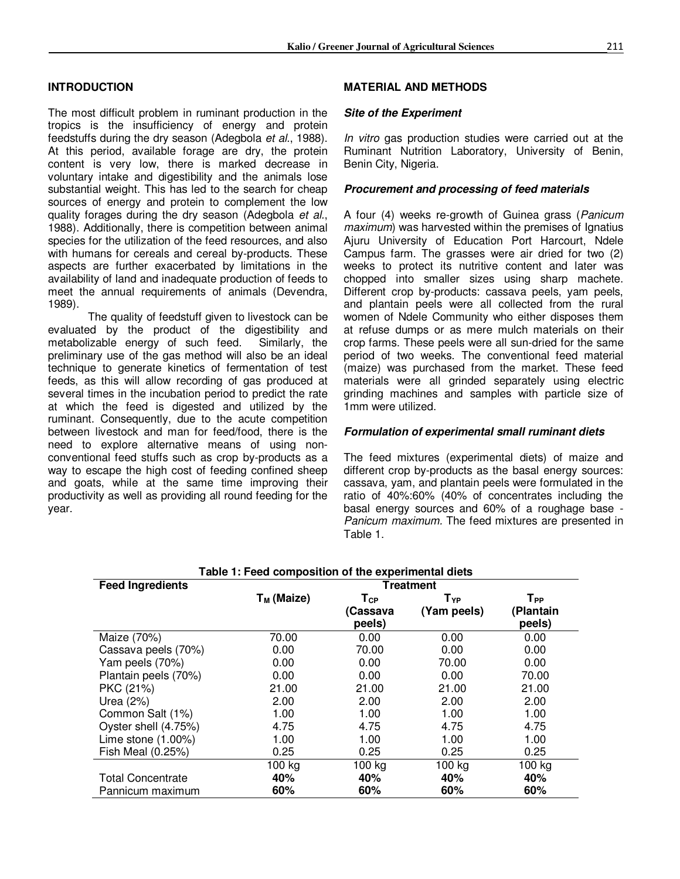### **INTRODUCTION**

The most difficult problem in ruminant production in the tropics is the insufficiency of energy and protein feedstuffs during the dry season (Adegbola *et al.*, 1988). At this period, available forage are dry, the protein content is very low, there is marked decrease in voluntary intake and digestibility and the animals lose substantial weight. This has led to the search for cheap sources of energy and protein to complement the low quality forages during the dry season (Adegbola *et al.*, 1988). Additionally, there is competition between animal species for the utilization of the feed resources, and also with humans for cereals and cereal by-products. These aspects are further exacerbated by limitations in the availability of land and inadequate production of feeds to meet the annual requirements of animals (Devendra, 1989).

The quality of feedstuff given to livestock can be evaluated by the product of the digestibility and metabolizable energy of such feed. Similarly, the preliminary use of the gas method will also be an ideal technique to generate kinetics of fermentation of test feeds, as this will allow recording of gas produced at several times in the incubation period to predict the rate at which the feed is digested and utilized by the ruminant. Consequently, due to the acute competition between livestock and man for feed/food, there is the need to explore alternative means of using nonconventional feed stuffs such as crop by-products as a way to escape the high cost of feeding confined sheep and goats, while at the same time improving their productivity as well as providing all round feeding for the year.

#### **MATERIAL AND METHODS**

#### *Site of the Experiment*

*In vitro* gas production studies were carried out at the Ruminant Nutrition Laboratory, University of Benin, Benin City, Nigeria.

#### *Procurement and processing of feed materials*

A four (4) weeks re-growth of Guinea grass (*Panicum maximum*) was harvested within the premises of Ignatius Ajuru University of Education Port Harcourt, Ndele Campus farm. The grasses were air dried for two (2) weeks to protect its nutritive content and later was chopped into smaller sizes using sharp machete. Different crop by-products: cassava peels, yam peels, and plantain peels were all collected from the rural women of Ndele Community who either disposes them at refuse dumps or as mere mulch materials on their crop farms. These peels were all sun-dried for the same period of two weeks. The conventional feed material (maize) was purchased from the market. These feed materials were all grinded separately using electric grinding machines and samples with particle size of 1mm were utilized.

#### *Formulation of experimental small ruminant diets*

The feed mixtures (experimental diets) of maize and different crop by-products as the basal energy sources: cassava, yam, and plantain peels were formulated in the ratio of 40%:60% (40% of concentrates including the basal energy sources and 60% of a roughage base - *Panicum maximum.* The feed mixtures are presented in Table 1.

| Table 1: Feed composition of the experimental diets |               |                            |                            |                             |  |  |  |
|-----------------------------------------------------|---------------|----------------------------|----------------------------|-----------------------------|--|--|--|
| <b>Feed Ingredients</b>                             |               | <b>Treatment</b>           |                            |                             |  |  |  |
|                                                     | $T_M$ (Maize) | $\mathsf{T}_{\textsf{CP}}$ | $\mathsf{T}_{\mathsf{YP}}$ | ${\mathsf T}_{\mathsf{PP}}$ |  |  |  |
|                                                     |               | (Cassava                   | (Yam peels)                | (Plantain                   |  |  |  |
|                                                     |               | peels)                     |                            | peels)                      |  |  |  |
| Maize (70%)                                         | 70.00         | 0.00                       | 0.00                       | 0.00                        |  |  |  |
| Cassava peels (70%)                                 | 0.00          | 70.00                      | 0.00                       | 0.00                        |  |  |  |
| Yam peels (70%)                                     | 0.00          | 0.00                       | 70.00                      | 0.00                        |  |  |  |
| Plantain peels (70%)                                | 0.00          | 0.00                       | 0.00                       | 70.00                       |  |  |  |
| PKC (21%)                                           | 21.00         | 21.00                      | 21.00                      | 21.00                       |  |  |  |
| Urea $(2%)$                                         | 2.00          | 2.00                       | 2.00                       | 2.00                        |  |  |  |
| Common Salt (1%)                                    | 1.00          | 1.00                       | 1.00                       | 1.00                        |  |  |  |
| Oyster shell (4.75%)                                | 4.75          | 4.75                       | 4.75                       | 4.75                        |  |  |  |
| Lime stone $(1.00\%)$                               | 1.00          | 1.00                       | 1.00                       | 1.00                        |  |  |  |
| Fish Meal (0.25%)                                   | 0.25          | 0.25                       | 0.25                       | 0.25                        |  |  |  |
|                                                     | 100 kg        | 100 kg                     | 100 kg                     | 100 kg                      |  |  |  |
| <b>Total Concentrate</b>                            | 40%           | 40%                        | 40%                        | 40%                         |  |  |  |
| Pannicum maximum                                    | 60%           | 60%                        | 60%                        | 60%                         |  |  |  |

**Table 1: Feed composition of the experimental diets**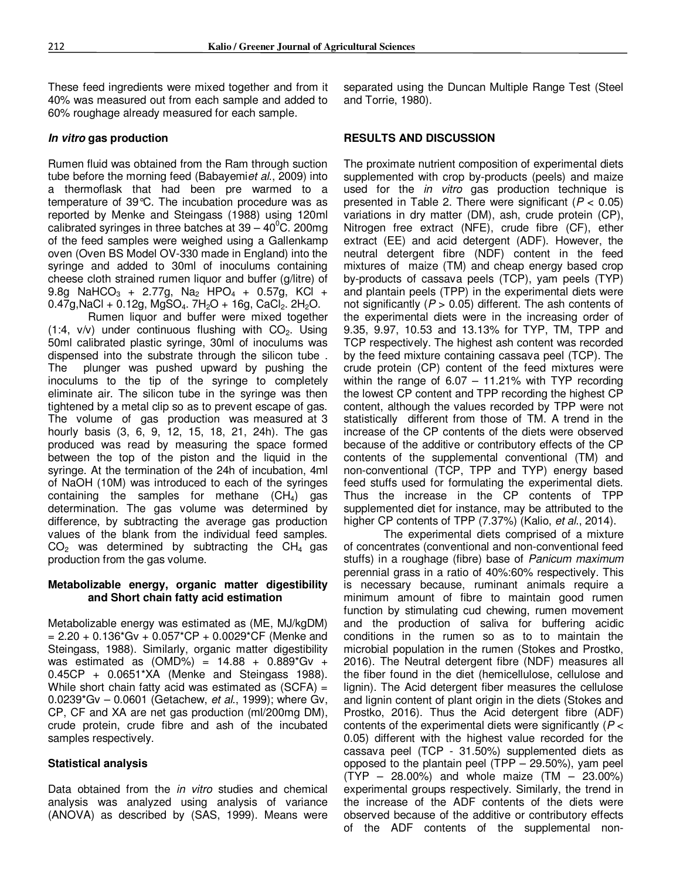These feed ingredients were mixed together and from it 40% was measured out from each sample and added to 60% roughage already measured for each sample.

#### *In vitro* **gas production**

Rumen fluid was obtained from the Ram through suction tube before the morning feed (Babayemi*et al*., 2009) into a thermoflask that had been pre warmed to a temperature of 39°C. The incubation procedure was as reported by Menke and Steingass (1988) using 120ml calibrated syringes in three batches at  $39 - 40^{\circ}$ C. 200mg of the feed samples were weighed using a Gallenkamp oven (Oven BS Model OV-330 made in England) into the syringe and added to 30ml of inoculums containing cheese cloth strained rumen liquor and buffer (g/litre) of 9.8g NaHCO<sub>3</sub> + 2.77g, Na<sub>2</sub> HPO<sub>4</sub> + 0.57g, KCl +  $0.47g$ , NaCl + 0.12g, MgSO<sub>4</sub>. 7H<sub>2</sub>O + 16g, CaCl<sub>2</sub>. 2H<sub>2</sub>O.

Rumen liquor and buffer were mixed together (1:4,  $v/v$ ) under continuous flushing with  $CO<sub>2</sub>$ . Using 50ml calibrated plastic syringe, 30ml of inoculums was dispensed into the substrate through the silicon tube . The plunger was pushed upward by pushing the inoculums to the tip of the syringe to completely eliminate air. The silicon tube in the syringe was then tightened by a metal clip so as to prevent escape of gas. The volume of gas production was measured at 3 hourly basis (3, 6, 9, 12, 15, 18, 21, 24h). The gas produced was read by measuring the space formed between the top of the piston and the liquid in the syringe. At the termination of the 24h of incubation, 4ml of NaOH (10M) was introduced to each of the syringes containing the samples for methane  $(CH_4)$  gas determination. The gas volume was determined by difference, by subtracting the average gas production values of the blank from the individual feed samples.  $CO<sub>2</sub>$  was determined by subtracting the CH<sub>4</sub> gas production from the gas volume.

#### **Metabolizable energy, organic matter digestibility and Short chain fatty acid estimation**

Metabolizable energy was estimated as (ME, MJ/kgDM)  $= 2.20 + 0.136*$ Gv + 0.057\*CP + 0.0029\*CF (Menke and Steingass, 1988). Similarly, organic matter digestibility was estimated as  $(OMD%) = 14.88 + 0.889*Gv +$ 0.45CP + 0.0651\*XA (Menke and Steingass 1988). While short chain fatty acid was estimated as  $(SCFA) =$ 0.0239\*Gv – 0.0601 (Getachew, *et al*., 1999); where Gv, CP, CF and XA are net gas production (ml/200mg DM), crude protein, crude fibre and ash of the incubated samples respectively.

#### **Statistical analysis**

Data obtained from the *in vitro* studies and chemical analysis was analyzed using analysis of variance (ANOVA) as described by (SAS, 1999). Means were separated using the Duncan Multiple Range Test (Steel and Torrie, 1980).

#### **RESULTS AND DISCUSSION**

The proximate nutrient composition of experimental diets supplemented with crop by-products (peels) and maize used for the *in vitro* gas production technique is presented in Table 2. There were significant (*P* < 0.05) variations in dry matter (DM), ash, crude protein (CP), Nitrogen free extract (NFE), crude fibre (CF), ether extract (EE) and acid detergent (ADF). However, the neutral detergent fibre (NDF) content in the feed mixtures of maize (TM) and cheap energy based crop by-products of cassava peels (TCP), yam peels (TYP) and plantain peels (TPP) in the experimental diets were not significantly (*P* > 0.05) different. The ash contents of the experimental diets were in the increasing order of 9.35, 9.97, 10.53 and 13.13% for TYP, TM, TPP and TCP respectively. The highest ash content was recorded by the feed mixture containing cassava peel (TCP). The crude protein (CP) content of the feed mixtures were within the range of  $6.07 - 11.21\%$  with TYP recording the lowest CP content and TPP recording the highest CP content, although the values recorded by TPP were not statistically different from those of TM. A trend in the increase of the CP contents of the diets were observed because of the additive or contributory effects of the CP contents of the supplemental conventional (TM) and non-conventional (TCP, TPP and TYP) energy based feed stuffs used for formulating the experimental diets. Thus the increase in the CP contents of TPP supplemented diet for instance, may be attributed to the higher CP contents of TPP (7.37%) (Kalio, *et al*., 2014).

The experimental diets comprised of a mixture of concentrates (conventional and non-conventional feed stuffs) in a roughage (fibre) base of *Panicum maximum*  perennial grass in a ratio of 40%:60% respectively. This is necessary because, ruminant animals require a minimum amount of fibre to maintain good rumen function by stimulating cud chewing, rumen movement and the production of saliva for buffering acidic conditions in the rumen so as to to maintain the microbial population in the rumen (Stokes and Prostko, 2016). The Neutral detergent fibre (NDF) measures all the fiber found in the diet (hemicellulose, cellulose and lignin). The Acid detergent fiber measures the cellulose and lignin content of plant origin in the diets (Stokes and Prostko, 2016). Thus the Acid detergent fibre (ADF) contents of the experimental diets were significantly (*P* < 0.05) different with the highest value recorded for the cassava peel (TCP - 31.50%) supplemented diets as opposed to the plantain peel (TPP – 29.50%), yam peel (TYP – 28.00%) and whole maize (TM – 23.00%) experimental groups respectively. Similarly, the trend in the increase of the ADF contents of the diets were observed because of the additive or contributory effects of the ADF contents of the supplemental non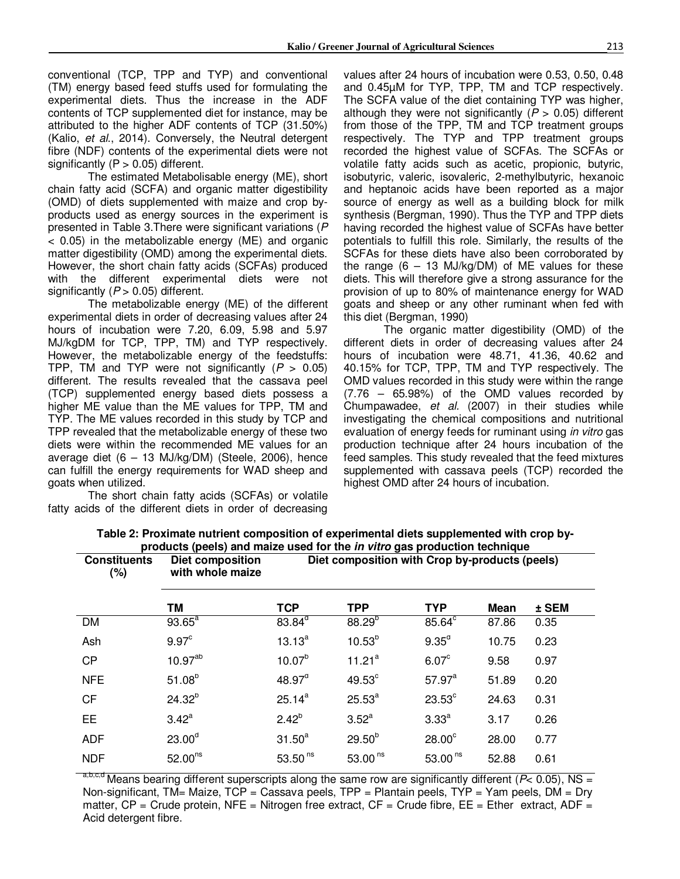conventional (TCP, TPP and TYP) and conventional (TM) energy based feed stuffs used for formulating the experimental diets. Thus the increase in the ADF contents of TCP supplemented diet for instance, may be attributed to the higher ADF contents of TCP (31.50%) (Kalio, *et al*., 2014). Conversely, the Neutral detergent fibre (NDF) contents of the experimental diets were not significantly  $(P > 0.05)$  different.

The estimated Metabolisable energy (ME), short chain fatty acid (SCFA) and organic matter digestibility (OMD) of diets supplemented with maize and crop byproducts used as energy sources in the experiment is presented in Table 3.There were significant variations (*P*  < 0.05) in the metabolizable energy (ME) and organic matter digestibility (OMD) among the experimental diets. However, the short chain fatty acids (SCFAs) produced with the different experimental diets were not significantly (*P* > 0.05) different.

The metabolizable energy (ME) of the different experimental diets in order of decreasing values after 24 hours of incubation were 7.20, 6.09, 5.98 and 5.97 MJ/kgDM for TCP, TPP, TM) and TYP respectively. However, the metabolizable energy of the feedstuffs: TPP, TM and TYP were not significantly  $(P > 0.05)$ different. The results revealed that the cassava peel (TCP) supplemented energy based diets possess a higher ME value than the ME values for TPP, TM and TYP. The ME values recorded in this study by TCP and TPP revealed that the metabolizable energy of these two diets were within the recommended ME values for an average diet  $(6 - 13 \text{ MJ/kg/DM})$  (Steele, 2006), hence can fulfill the energy requirements for WAD sheep and goats when utilized.

The short chain fatty acids (SCFAs) or volatile fatty acids of the different diets in order of decreasing values after 24 hours of incubation were 0.53, 0.50, 0.48 and 0.45µM for TYP, TPP, TM and TCP respectively. The SCFA value of the diet containing TYP was higher, although they were not significantly  $(P > 0.05)$  different from those of the TPP, TM and TCP treatment groups respectively. The TYP and TPP treatment groups recorded the highest value of SCFAs. The SCFAs or volatile fatty acids such as acetic, propionic, butyric, isobutyric, valeric, isovaleric, 2-methylbutyric, hexanoic and heptanoic acids have been reported as a major source of energy as well as a building block for milk synthesis (Bergman, 1990). Thus the TYP and TPP diets having recorded the highest value of SCFAs have better potentials to fulfill this role. Similarly, the results of the SCFAs for these diets have also been corroborated by the range  $(6 - 13 \text{ MJ/kg} / \text{DM})$  of ME values for these diets. This will therefore give a strong assurance for the provision of up to 80% of maintenance energy for WAD goats and sheep or any other ruminant when fed with this diet (Bergman, 1990)

 The organic matter digestibility (OMD) of the different diets in order of decreasing values after 24 hours of incubation were 48.71, 41.36, 40.62 and 40.15% for TCP, TPP, TM and TYP respectively. The OMD values recorded in this study were within the range (7.76 – 65.98%) of the OMD values recorded by Chumpawadee, *et al.* (2007) in their studies while investigating the chemical compositions and nutritional evaluation of energy feeds for ruminant using *in vitro* gas production technique after 24 hours incubation of the feed samples. This study revealed that the feed mixtures supplemented with cassava peels (TCP) recorded the highest OMD after 24 hours of incubation.

| (%)        | with whole maize   |                        |                   |                   |             |       |  |  |
|------------|--------------------|------------------------|-------------------|-------------------|-------------|-------|--|--|
|            | <b>TM</b>          | <b>TCP</b>             | <b>TPP</b>        | <b>TYP</b>        | <b>Mean</b> | ± SEM |  |  |
| DM         | $93.65^{\circ}$    | $83.\overline{84}^{d}$ | $88.29^{b}$       | $85.64^{\circ}$   | 87.86       | 0.35  |  |  |
| Ash        | 9.97 <sup>c</sup>  | $13.13^{a}$            | $10.53^{b}$       | 9.35 <sup>d</sup> | 10.75       | 0.23  |  |  |
| CP         | $10.97^{ab}$       | $10.07^{b}$            | $11.21^a$         | 6.07 <sup>c</sup> | 9.58        | 0.97  |  |  |
| <b>NFE</b> | $51.08^{b}$        | $48.97^{\circ}$        | $49.53^{\circ}$   | $57.97^a$         | 51.89       | 0.20  |  |  |
| <b>CF</b>  | $24.32^{b}$        | $25.14^{a}$            | $25.53^{a}$       | $23.53^{\circ}$   | 24.63       | 0.31  |  |  |
| <b>EE</b>  | $3.42^{\circ}$     | $2.42^{b}$             | 3.52 <sup>a</sup> | 3.33 <sup>a</sup> | 3.17        | 0.26  |  |  |
| <b>ADF</b> | 23.00 <sup>d</sup> | $31.50^{a}$            | $29.50^{b}$       | $28.00^{\circ}$   | 28.00       | 0.77  |  |  |
| <b>NDF</b> | $52.00^{ns}$       | 53.50 $ns$             | 53.00 $ns$        | 53.00 $ns$        | 52.88       | 0.61  |  |  |

#### **Table 2: Proximate nutrient composition of experimental diets supplemented with crop byproducts (peels) and maize used for the** *in vitro* **gas production technique Constituents Diet composition Diet composition with Crop by-products (peels)**

Means bearing different superscripts along the same row are significantly different ( $P$ < 0.05), NS = Non-significant, TM= Maize, TCP = Cassava peels, TPP = Plantain peels, TYP = Yam peels, DM = Dry matter,  $CP =$  Crude protein, NFE = Nitrogen free extract,  $CF =$  Crude fibre,  $EE =$  Ether extract, ADF = Acid detergent fibre.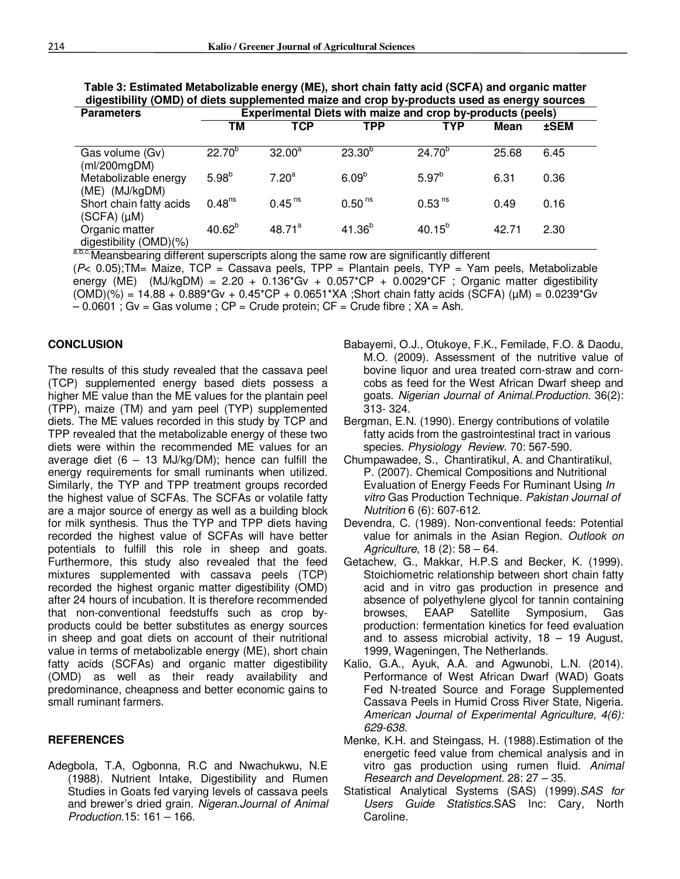| <b>Parameters</b>               | Experimental Diets with maize and crop by-products (peels) |                    |                    |                    |             |             |
|---------------------------------|------------------------------------------------------------|--------------------|--------------------|--------------------|-------------|-------------|
|                                 | ΤM                                                         | TCP                | <b>TPP</b>         | TYP                | <b>Mean</b> | <b>±SEM</b> |
|                                 |                                                            | $32.00^a$          |                    |                    |             |             |
| Gas volume (Gv)<br>(mI/200mgDM) | $22.70^{b}$                                                |                    | $23.30^{b}$        | $24.70^{b}$        | 25.68       | 6.45        |
| Metabolizable energy            | 5.98 <sup>b</sup>                                          | 7.20 <sup>a</sup>  | 6.09 <sup>b</sup>  | $5.97^{b}$         | 6.31        | 0.36        |
| (ME) (MJ/kgDM)                  |                                                            |                    |                    |                    |             |             |
| Short chain fatty acids         | 0.48 <sup>ns</sup>                                         | 0.45 <sup>ns</sup> | 0.50 <sup>ns</sup> | 0.53 <sup>ns</sup> | 0.49        | 0.16        |
| $(SCFA)$ ( $\mu$ M)             |                                                            |                    |                    |                    |             |             |
| Organic matter                  | $40.62^{b}$                                                | $48.71^{a}$        | $41.36^{b}$        | $40.15^{b}$        | 42.71       | 2.30        |
| digestibility (OMD)(%)          |                                                            |                    |                    |                    |             |             |

**Table 3: Estimated Metabolizable energy (ME), short chain fatty acid (SCFA) and organic matter digestibility (OMD) of diets supplemented maize and crop by-products used as energy sources** 

a,b,c,Meansbearing different superscripts along the same row are significantly different (*P*< 0.05);TM= Maize, TCP = Cassava peels, TPP = Plantain peels, TYP = Yam peels, Metabolizable energy (ME) (MJ/kgDM) =  $2.20 + 0.136*$ Gv +  $0.057*$ CP +  $0.0029*$ CF; Organic matter digestibility  $(OMD)(%) = 14.88 + 0.889*Gv + 0.45*CP + 0.0651*XA$ ; Short chain fatty acids (SCFA) ( $\mu$ M) = 0.0239\*Gv  $-0.0601$ ; Gv = Gas volume ; CP = Crude protein; CF = Crude fibre ; XA = Ash.

#### **CONCLUSION**

The results of this study revealed that the cassava peel (TCP) supplemented energy based diets possess a higher ME value than the ME values for the plantain peel (TPP), maize (TM) and yam peel (TYP) supplemented diets. The ME values recorded in this study by TCP and TPP revealed that the metabolizable energy of these two diets were within the recommended ME values for an average diet  $(6 - 13 \text{ MJ/kg} / \text{DM})$ ; hence can fulfill the energy requirements for small ruminants when utilized. Similarly, the TYP and TPP treatment groups recorded the highest value of SCFAs. The SCFAs or volatile fatty are a major source of energy as well as a building block for milk synthesis. Thus the TYP and TPP diets having recorded the highest value of SCFAs will have better potentials to fulfill this role in sheep and goats. Furthermore, this study also revealed that the feed mixtures supplemented with cassava peels (TCP) recorded the highest organic matter digestibility (OMD) after 24 hours of incubation. It is therefore recommended that non-conventional feedstuffs such as crop byproducts could be better substitutes as energy sources in sheep and goat diets on account of their nutritional value in terms of metabolizable energy (ME), short chain fatty acids (SCFAs) and organic matter digestibility (OMD) as well as their ready availability and predominance, cheapness and better economic gains to small ruminant farmers.

#### **REFERENCES**

Adegbola, T.A, Ogbonna, R.C and Nwachukwu, N.E (1988). Nutrient Intake, Digestibility and Rumen Studies in Goats fed varying levels of cassava peels and brewer's dried grain. *Nigeran.Journal of Animal Production.*15: 161 – 166.

- Babayemi, O.J., Otukoye, F.K., Femilade, F.O. & Daodu, M.O. (2009). Assessment of the nutritive value of bovine liquor and urea treated corn-straw and corncobs as feed for the West African Dwarf sheep and goats. *Nigerian Journal of Animal.Production.* 36(2): 313- 324.
- Bergman, E.N. (1990). Energy contributions of volatile fatty acids from the gastrointestinal tract in various species. *Physiology Review*. 70: 567-590.
- Chumpawadee, S., Chantiratikul, A. and Chantiratikul, P. (2007). Chemical Compositions and Nutritional Evaluation of Energy Feeds For Ruminant Using *In vitro* Gas Production Technique. *Pakistan Journal of Nutrition* 6 (6): 607-612.
- Devendra, C. (1989). Non-conventional feeds: Potential value for animals in the Asian Region. *Outlook on Agriculture*, 18 (2): 58 – 64.
- Getachew, G., Makkar, H.P.S and Becker, K. (1999). Stoichiometric relationship between short chain fatty acid and in vitro gas production in presence and absence of polyethylene glycol for tannin containing browses, EAAP Satellite Symposium, Gas production: fermentation kinetics for feed evaluation and to assess microbial activity,  $18 - 19$  August, 1999, Wageningen, The Netherlands.
- Kalio, G.A., Ayuk, A.A. and Agwunobi, L.N. (2014). Performance of West African Dwarf (WAD) Goats Fed N-treated Source and Forage Supplemented Cassava Peels in Humid Cross River State, Nigeria. *American Journal of Experimental Agriculture, 4(6): 629-638.*
- Menke, K.H. and Steingass, H. (1988).Estimation of the energetic feed value from chemical analysis and in vitro gas production using rumen fluid. *Animal Research and Development*. 28: 27 – 35.
- Statistical Analytical Systems (SAS) (1999).*SAS for Users Guide Statistics.*SAS Inc: Cary, North Caroline.